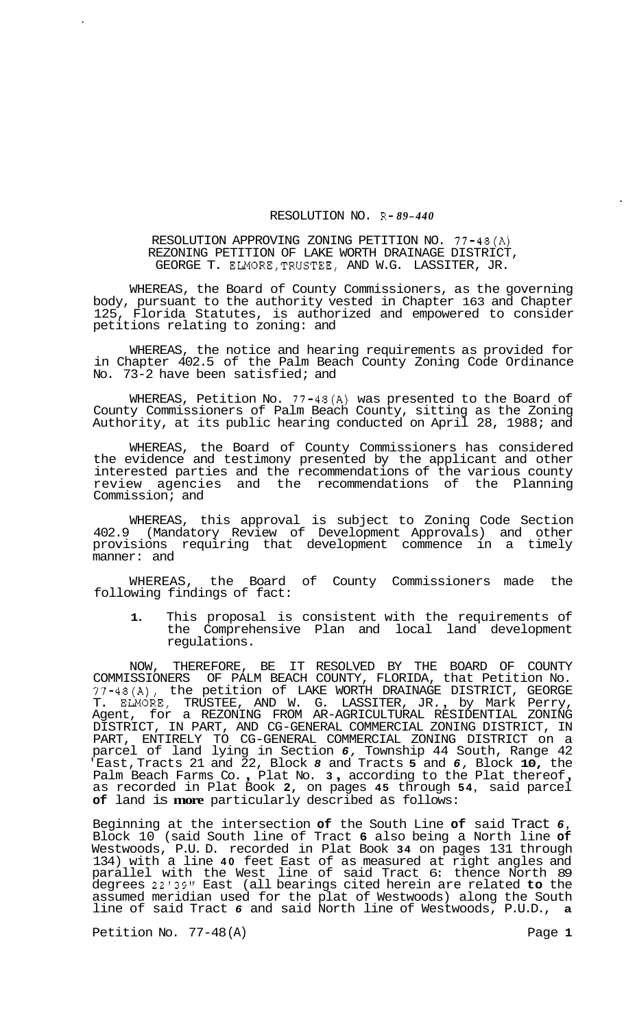## RESOLUTION NO. R- *89-440*

## RESOLUTION APPROVING ZONING PETITION NO. 77-48(A) REZONING PETITION OF LAKE WORTH DRAINAGE DISTRICT, GEORGE T. ELMORE,TRUSTEE, AND W.G. LASSITER, JR.

WHEREAS, the Board of County Commissioners, as the governing body, pursuant to the authority vested in Chapter 163 and Chapter 125, Florida Statutes, is authorized and empowered to consider petitions relating to zoning: and

WHEREAS, the notice and hearing requirements as provided for in Chapter 402.5 of the Palm Beach County Zoning Code Ordinance No. 73-2 have been satisfied; and

WHEREAS, Petition No. 77-48(A) was presented to the Board of County Commissioners of Palm Beach County, sitting as the Zoning Authority, at its public hearing conducted on April 28, 1988; and

WHEREAS, the Board of County Commissioners has considered the evidence and testimony presented by the applicant and other interested parties and the recommendations of the various county review agencies and the recommendations of the Planning Commission; and

WHEREAS, this approval is subject to Zoning Code Section 402.9 (Mandatory Review of Development Approvals) and other provisions requiring that development commence in a timely manner: and

WHEREAS, the Board of County Commissioners made the following findings of fact:

**1.** This proposal is consistent with the requirements of the Comprehensive Plan and local land development regulations.

NOW, THEREFORE, BE IT RESOLVED BY THE BOARD OF COUNTY COMMISSIONERS OF PALM BEACH COUNTY, FLORIDA, that Petition No. 77-48(A), the petition of LAKE WORTH DRAINAGE DISTRICT, GEORGE T. ELMORE, TRUSTEE, AND W. G. LASSITER, JR. , by Mark Perry, Agent, for a REZONING FROM AR-AGRICULTURAL RESIDENTIAL ZONING DISTRICT, IN PART, AND CG-GENERAL COMMERCIAL ZONING DISTRICT, IN PART, ENTIRELY TO CG-GENERAL COMMERCIAL ZONING DISTRICT on a parcel of land lying in Section *6,* Township 44 South, Range 42 East, Tracts 21 and 22, Block 8 and Tracts 5 and 6, Block 10, the Palm Beach Farms Co., Plat No. 3, according to the Plat thereof, as recorded in Plat Book 2, on pages 45 through 54, said parcel **of** land is **more** particularly described as follows:

Beginning at the intersection **of** the South Line **of** said Tract *6,*  Block 10 (said South line of Tract **6** also being a North line **of**  Westwoods, P.U. D. recorded in Plat Book **34** on pages 131 through 134) with a line **40** feet East of as measured at right angles and parallel with the West line of said Tract 6: thence North 89 degrees 22'39'' East (all bearings cited herein are related **to** the assumed meridian used for the plat of Westwoods) along the South line of said Tract *6* and said North line of Westwoods, P.U.D., **a** 

Petition No. 77-48(A) Page 1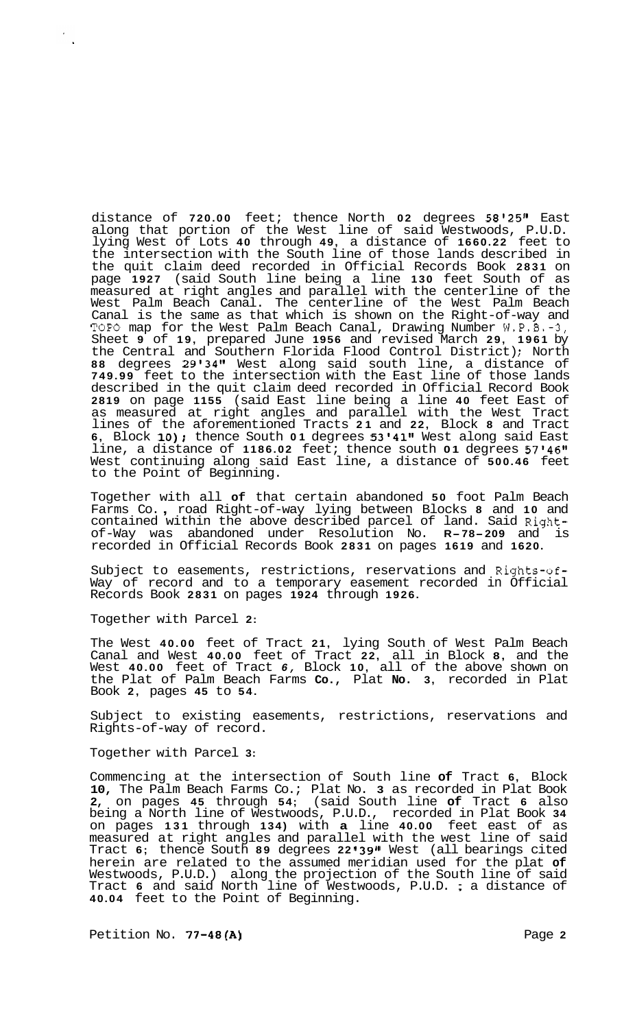distance of **720.00** feet; thence North **02** degrees **5812511** East along that portion of the West line of said Westwoods, P.U.D. lying West of Lots **40** through **49,** a distance of **1660.22** feet to the intersection with the South line of those lands described in the quit claim deed recorded in Official Records Book **2831** on page **1927** (said South line being a line **130** feet South of as measured at right angles and parallel with the centerline of the West Palm Beach Canal. The centerline of the West Palm Beach Canal is the same as that which is shown on the Right-of-way and TOPO map for the West Palm Beach Canal, Drawing Number W.P.B.-3, Sheet **9** of **19,** prepared June **1956** and revised March **29, 1961** by the Central and Southern Florida Flood Control District); North **88** degrees **29'34Il** West along said south line, a distance of **749.99** feet to the intersection with the East line of those lands described in the quit claim deed recorded in Official Record Book **2819** on page **1155** (said East line being a line **40** feet East of as measured at right angles and parallel with the West Tract lines of the aforementioned Tracts **21** and **22,** Block **8** and Tract **6**, Block 10); thence South 01 degrees 53'41" West along said East line, a distance of 1186.02 feet; thence south 01 degrees 57'46" West continuing along said East line, a distance of **500.46** feet to the Point of Beginning.

Together with all **of** that certain abandoned **50** foot Palm Beach Farms Co. , road Right-of-way lying between Blocks **8** and **10** and contained within the above described parcel of land. Said Right-of-Way was abandoned under Resolution No. **R-78-209** and is recorded in Official Records Book **2831** on pages **1619** and **1620.** 

Subject to easements, restrictions, reservations and Rights-of-Way of record and to a temporary easement recorded in Official Records Book **2831** on pages **1924** through **1926.** 

Together with Parcel **2:** 

The West **40.00** feet of Tract **21,** lying South of West Palm Beach Canal and West **40.00** feet of Tract **22,** all in Block **8,** and the West **40.00** feet of Tract *6,* Block **10,** all of the above shown on the Plat of Palm Beach Farms **Co.,** Plat **No. 3,** recorded in Plat Book **2,** pages **45** to **54.** 

Subject to existing easements, restrictions, reservations and Rights-of-way of record.

Together with Parcel **3:** 

Commencing at the intersection of South line **of** Tract **6,** Block **10,** The Palm Beach Farms Co.; Plat No. **3** as recorded in Plat Book **2,** on pages **45** through **54;** (said South line **of** Tract **6** also being a North line of Westwoods, P.U.D., recorded in Plat Book **34**  on pages **131** through **134)** with **a** line **40.00** feet east of as measured at right angles and parallel with the west line of said Tract **6;** thence South **89** degrees **22 I39l1** West (all bearings cited herein are related to the assumed meridian used for the plat **of**  Westwoods, P.U.D.) along the projection of the South line of said Tract **6** and said North line of Westwoods, P.U.D. ; a distance of Tract 6 and said North line of Westwoods, P.U.D. ; a distance of **40.04** feet to the Point of Beginning.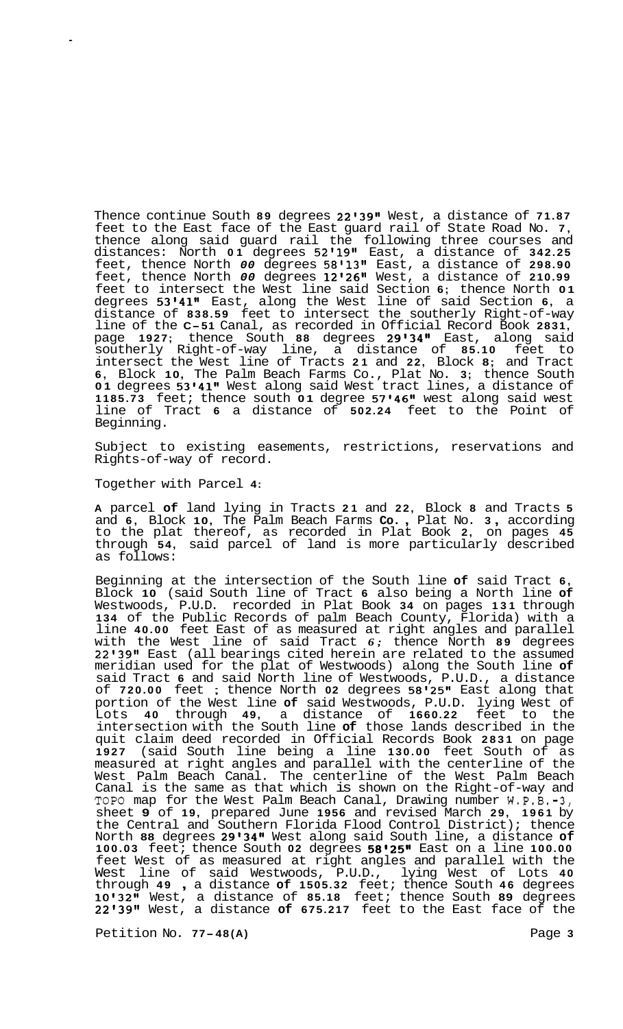Thence continue South **89** degrees **22'39"** West, a distance of **71.87**  feet to the East face of the East guard rail of State Road No. **7,**  thence along said guard rail the following three courses and distances: North **01** degrees **52'19l'** East, a distance of **342.25**  feet, thence North *00* degrees **58'1311** East, a distance of **298.90**  feet, thence North *00* degrees **12'26"** West, a distance of **210.99**  feet to intersect the West line said Section **6;** thence North **01**  degrees **53'41''** East, along the West line of said Section **6,** a distance of **838.59** feet to intersect the southerly Right-of-way line of the **C-51** Canal, as recorded in Official Record Book **2831,**  page **1927;** thence South **88** degrees **29'34"** East, along said southerly Right-of-way line, a distance of **85.10** feet to intersect the West line of Tracts **21** and **22,** Block **8;** and Tract **6,** Block **10,** The Palm Beach Farms Co., Plat No. **3;** thence South **01** degrees **53'41"** West along said West tract lines, a distance of **1185.73** feet; thence south **01** degree **57'46"** west along said west line of Tract **6** a distance of **502.24** feet to the Point of Beginning.

Subject to existing easements, restrictions, reservations and Rights-of-way of record.

Together with Parcel **4:** 

**A** parcel **of** land lying in Tracts **21** and **22,** Block **8** and Tracts **5**  and **6,** Block **10,** The Palm Beach Farms **Co.** , Plat No. **3** , according to the plat thereof, as recorded in Plat Book **2,** on pages **45**  through **54,** said parcel of land is more particularly described as follows:

Beginning at the intersection of the South line **of** said Tract **6,**  Block **10** (said South line of Tract **6** also being a North line **of**  Westwoods, P.U.D. recorded in Plat Book **34** on pages **131** through **134** of the Public Records of palm Beach County, Florida) with a line **40.00** feet East of as measured at right angles and parallel with the West line of said Tract *6;* thence North **89** degrees 22'39" East (all bearings cited herein are related to the assumed meridian used for the plat of Westwoods) along the South line **of**  said Tract **6** and said North line of Westwoods, P.U.D., a distance of **720.00** feet ; thence North **02** degrees **58'25''** East along that portion of the West line **of** said Westwoods, P.U.D. lying West of Lots **40** through **49,** a distance of **1660.22** feet to the intersection with the South line **of** those lands described in the quit claim deed recorded in Official Records Book **2831** on page **1927** (said South line being a line **130.00** feet South of as measured at right angles and parallel with the centerline of the West Palm Beach Canal. The centerline of the West Palm Beach Canal is the same as that which is shown on the Right-of-way and TOPO map for the West Palm Beach Canal, Drawing number W.P.B.-3, sheet **9** of **19,** prepared June **1956** and revised March **29, 1961** by the Central and Southern Florida Flood Control District); thence North **88** degrees **29'34"** West along said South line, a distance **of 100.03** feet; thence South **02** degrees **58'25''** East on a line **100.00**  feet West of as measured at right angles and parallel with the West line of said Westwoods, P.U.D., lying West of Lots **40**  through **49** , a distance **of 1505.32** feet; thence South **46** degrees **10'3211** West, a distance of **85.18** feet; thence South **89** degrees **22'39Il** West, a distance **of 675.217** feet to the East face of the

Petition No. 77-48(A) **Page 3** Page 3